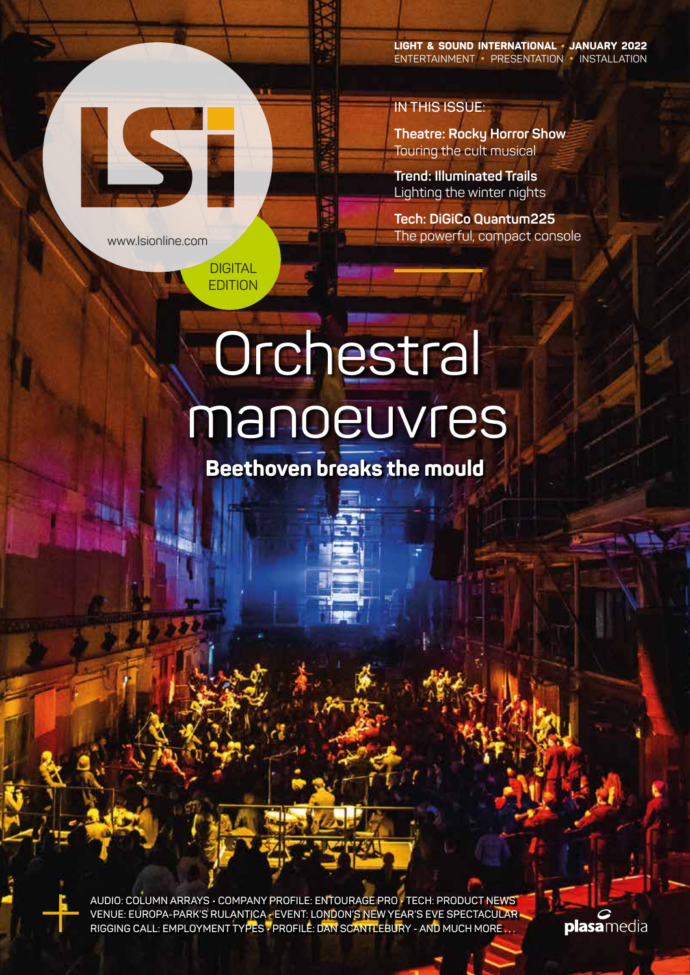**LIGHT & SOUND INTERNATIONAL • JANUARY 2022** ENTERTAINMENT **•** PRESENTATION **•** INSTALLATION

**Theatre: Rocky Horror Show** Touring the cult musical

**Trend: Illuminated Trails**  Lighting the winter nights

**IN THIS ISSUE:**

**Tech: DiGiCo Quantum225** The powerful, compact console

# **Orchestral** manoeuvres

www.lsionline.com

LS E

**DIGITAL** EDITION

**Beethoven breaks the mould**

**AUDIO: COLUMN ARRAYS • COMPANY PROFILE: ENTOURAGE PRO • TECH: PRODUCT NEWS VENUE: EUROPA-PARK'S RULANTICA • EVENT: LONDON'S NEW YEAR'S EVE SPECTACULAR RIGGING CALL: EMPLOYMENT TYPES • PROFILE: DAN SCANTLEBURY - AND MUCH MORE . . .**

plasamedia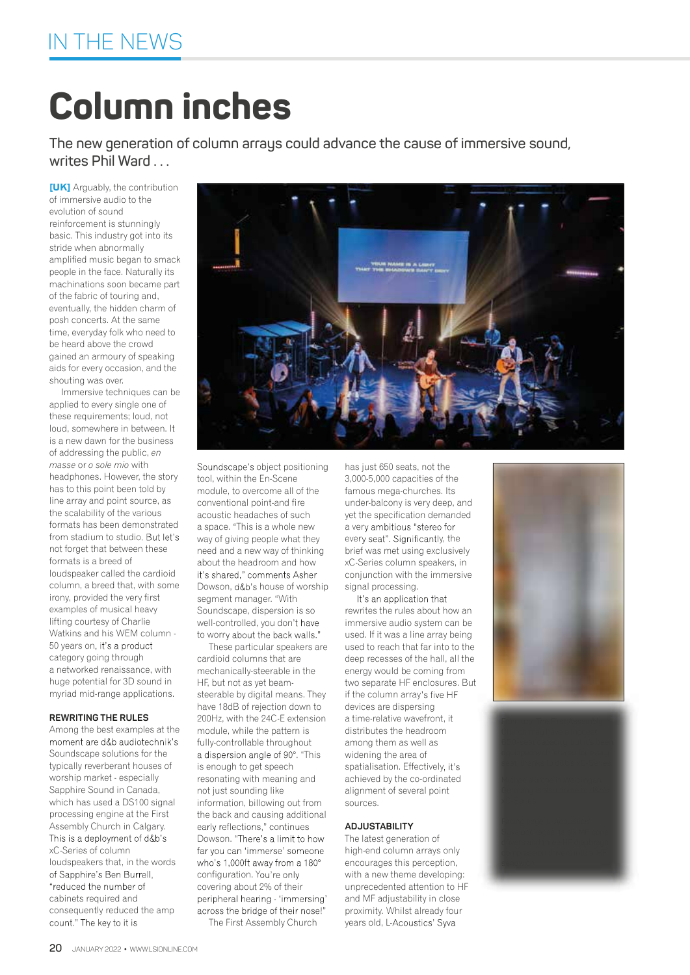## **Column inches**

**The new generation of column arrays could advance the cause of immersive sound, writes Phil Ward . . .**

**[UK]** Arguably, the contribution of immersive audio to the evolution of sound reinforcement is stunningly basic. This industry got into its stride when abnormally amplified music began to smack people in the face. Naturally its machinations soon became part of the fabric of touring and, eventually, the hidden charm of posh concerts. At the same time, everyday folk who need to be heard above the crowd gained an armoury of speaking aids for every occasion, and the shouting was over.

Immersive techniques can be applied to every single one of these requirements; loud, not loud, somewhere in between. It is a new dawn for the business of addressing the public, *en masse* or *o sole mio* with headphones. However, the story has to this point been told by line array and point source, as the scalability of the various formats has been demonstrated from stadium to studio. But let's not forget that between these formats is a breed of loudspeaker called the cardioid column, a breed that, with some irony, provided the very first examples of musical heavy lifting courtesy of Charlie Watkins and his WEM column - 50 years on category going through a networked renaissance, with huge potential for 3D sound in myriad mid-range applications.

#### **REWRITING THE RULES**

Among the best examples at the moment are d&b audiotechnik's Soundscape solutions for the typically reverberant houses of worship market - especially Sapphire Sound in Canada, which has used a DS100 signal processing engine at the First Assembly Church in Calgary. This is a deployment of d&b's xC-Series of column loudspeakers that, in the words of Sapphire's Ben Burrell, "reduced the number of cabinets required and consequently reduced the amp count." The key to it is



These particular speakers are cardioid columns that are mechanically-steerable in the HF, but not as yet beamsteerable by digital means. They have 18dB of rejection down to 200Hz, with the 24C-E extension module, while the pattern is fully-controllable throughout a dispersion angle of 90°. "This is enough to get speech resonating with meaning and not just sounding like information, billowing out from the back and causing additional<br>early reflections." continues Dowson. "There's a limit to how far you can 'immerse' someone who's 1,000ft away from a 180° configuration. You're only covering about 2% of their peripheral hearing - 'immersing' across the bridge of their nose!"

The First Assembly Church

under-balcony is very deep, and yet the specification demanded a very ambitious "stereo for every seat". Significantly, the brief was met using exclusively xC-Series column speakers, in conjunction with the immersive signal processing.

It's an application that rewrites the rules about how an immersive audio system can be used. If it was a line array being used to reach that far into to the deep recesses of the hall, all the energy would be coming from two separate HF enclosures. But if the column array's five HF devices are dispersing a time-relative wavefront, it distributes the headroom among them as well as widening the area of spatialisation. Effectively, it's achieved by the co-ordinated alignment of several point sources.

#### **ADJUSTABILITY**

The latest generation of high-end column arrays only encourages this perception, with a new theme developing: unprecedented attention to HF and MF adjustability in close proximity. Whilst already four years old, L-Acoustics' Syva





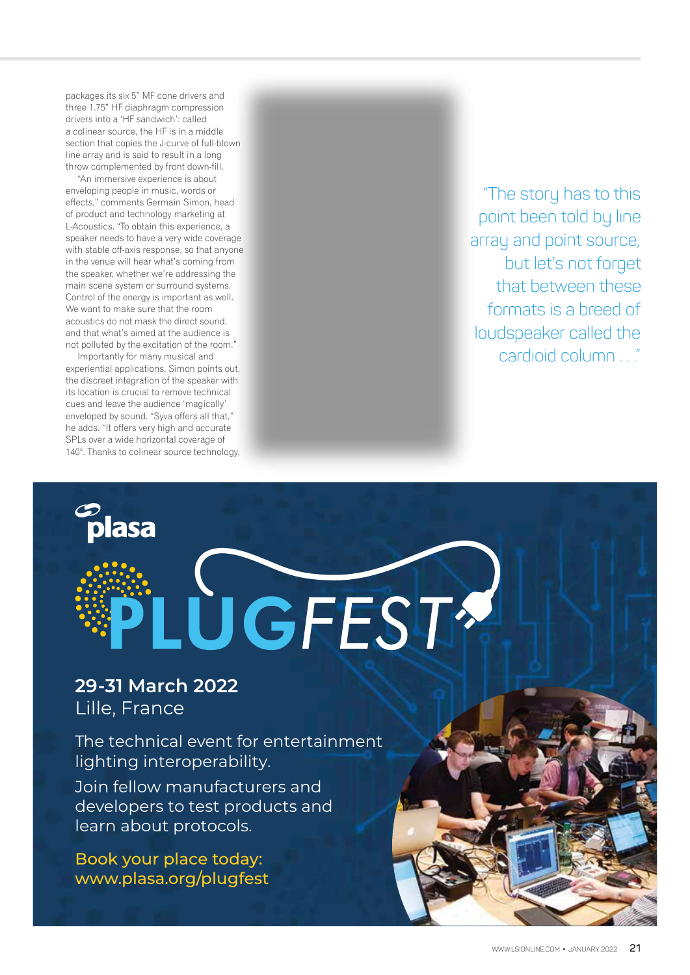packages its six 5" MF cone drivers and three 1.75" HF diaphragm compression drivers into a 'HF sandwich': called a colinear source, the HF is in a middle section that copies the J-curve of full-blown line array and is said to result in a long throw complemented by front down-fill.

"An immersive experience is about enveloping people in music, words or effects," comments Germain Simon, head of product and technology marketing at L-Acoustics. "To obtain this experience, a speaker needs to have a very wide coverage with stable off-axis response, so that anyone in the venue will hear what's coming from the speaker, whether we're addressing the main scene system or surround systems. Control of the energy is important as well. We want to make sure that the room acoustics do not mask the direct sound, and that what's aimed at the audience is not polluted by the excitation of the room."

Importantly for many musical and experiential applications, Simon points out, the discreet integration of the speaker with its location is crucial to remove technical cues and leave the audience 'magically' enveloped by sound. "Syva offers all that," he adds. "It offers very high and accurate SPLs over a wide horizontal coverage of 140°. Thanks to colinear source technology,

lasa

"The story has to this point been told by line array and point source, but let's not forget that between these formats is a breed of loudspeaker called the cardioid column "

### 29-31 March 2022 Lille, France

The technical event for entertainment lighting interoperability.

**UGFEST?** 

Join fellow manufacturers and developers to test products and learn about protocols.

Book your place today: www.plasa.org/plugfest